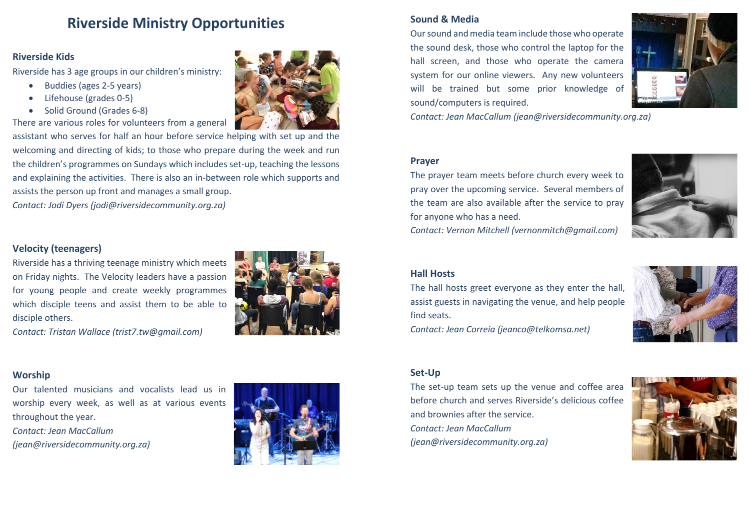# **Riverside Ministry Opportunities**

## **Riverside Kids**

Riverside has 3 age groups in our children's ministry:

- Buddies (ages 2-5 years)
- Lifehouse (grades 0-5)
- Solid Ground (Grades 6-8)

There are various roles for volunteers from a general

assistant who serves for half an hour before service helping with set up and the welcoming and directing of kids; to those who prepare during the week and run the children's programmes on Sundays which includes set-up, teaching the lessons and explaining the activities. There is also an in-between role which supports and assists the person up front and manages a small group.

*Contact: Jodi Dyers [\(jodi@riversidecommunity.org.za\)](mailto:jodi@riversidecommunity.org.za)*

# **Velocity (teenagers)**

Riverside has a thriving teenage ministry which meets on Friday nights. The Velocity leaders have a passion for young people and create weekly programmes which disciple teens and assist them to be able to disciple others.

*Contact: Tristan Wallace [\(trist7.tw@gmail.com\)](mailto:trist7.tw@gmail.com)* 

## **Worship**

Our talented musicians and vocalists lead us in worship every week, as well as at various events throughout the year. *Contact: Jean MacCallum [\(jean@riversidecommunity.org.za\)](mailto:jean@riversidecommunity.org.za)* 



# **Sound & Media**

Our sound and media team include those who operate the sound desk, those who control the laptop for the hall screen, and those who operate the camera system for our online viewers. Any new volunteers will be trained but some prior knowledge of sound/computers is required.



*Contact: Jean MacCallum (jean@riversidecommunity.org.za)*

#### **Prayer**

The prayer team meets before church every week to pray over the upcoming service. Several members of the team are also available after the service to pray for anyone who has a need.



*Contact: Vernon Mitchell [\(vernonmitch@gmail.com\)](mailto:vernonmitch@gmail.com)*

#### **Hall Hosts**

The hall hosts greet everyone as they enter the hall, assist guests in navigating the venue, and help people find seats.



*Contact: Jean Correia [\(jeanco@telkomsa.net\)](mailto:jeanco@telkomsa.net)* 

#### **Set-Up**

The set-up team sets up the venue and coffee area before church and serves Riverside's delicious coffee and brownies after the service. *Contact: Jean MacCallum [\(jean@riversidecommunity.org.za\)](mailto:jean@riversidecommunity.org.za)*